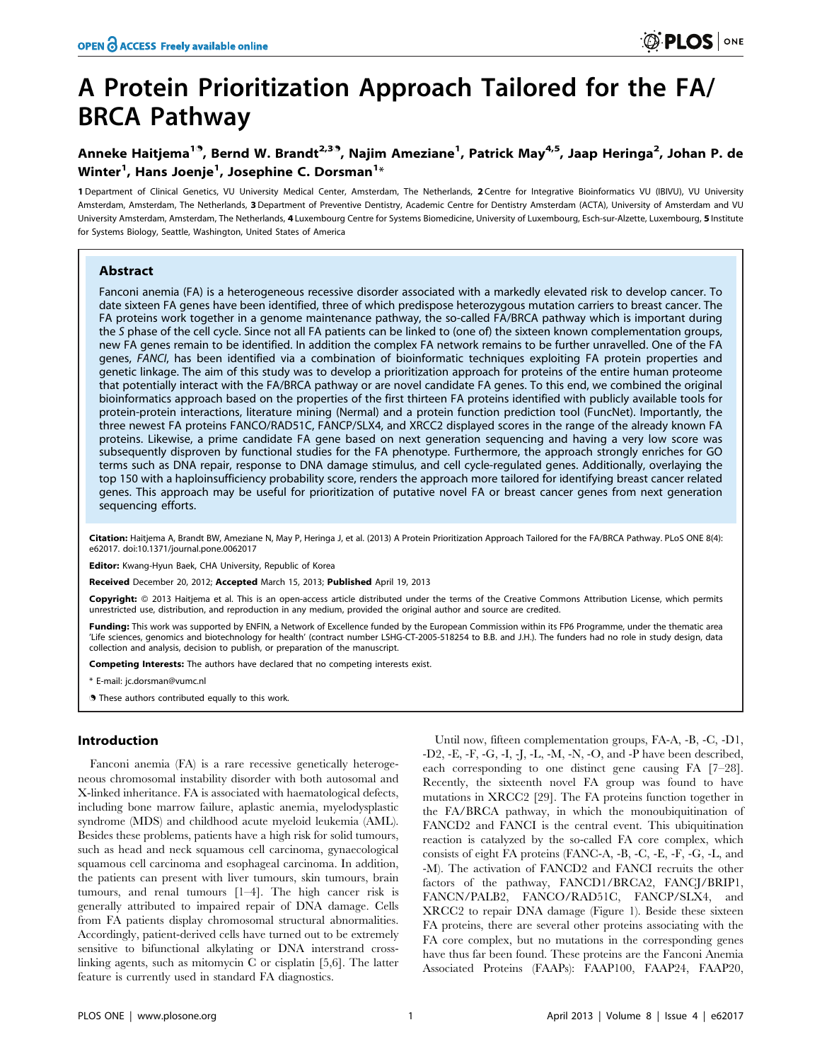# A Protein Prioritization Approach Tailored for the FA/ BRCA Pathway

# Anneke Haitjema<sup>19</sup>, Bernd W. Brandt<sup>2,39</sup>, Najim Ameziane<sup>1</sup>, Patrick May<sup>4,5</sup>, Jaap Heringa<sup>2</sup>, Johan P. de Winter $^1$ , Hans Joenje $^1$ , Josephine C. Dorsman $^{1\ast}$

1 Department of Clinical Genetics, VU University Medical Center, Amsterdam, The Netherlands, 2 Centre for Integrative Bioinformatics VU (IBIVU), VU University Amsterdam, Amsterdam, The Netherlands, 3Department of Preventive Dentistry, Academic Centre for Dentistry Amsterdam (ACTA), University of Amsterdam and VU University Amsterdam, Amsterdam, The Netherlands, 4 Luxembourg Centre for Systems Biomedicine, University of Luxembourg, Esch-sur-Alzette, Luxembourg, 5 Institute for Systems Biology, Seattle, Washington, United States of America

# Abstract

Fanconi anemia (FA) is a heterogeneous recessive disorder associated with a markedly elevated risk to develop cancer. To date sixteen FA genes have been identified, three of which predispose heterozygous mutation carriers to breast cancer. The FA proteins work together in a genome maintenance pathway, the so-called FA/BRCA pathway which is important during the S phase of the cell cycle. Since not all FA patients can be linked to (one of) the sixteen known complementation groups, new FA genes remain to be identified. In addition the complex FA network remains to be further unravelled. One of the FA genes, FANCI, has been identified via a combination of bioinformatic techniques exploiting FA protein properties and genetic linkage. The aim of this study was to develop a prioritization approach for proteins of the entire human proteome that potentially interact with the FA/BRCA pathway or are novel candidate FA genes. To this end, we combined the original bioinformatics approach based on the properties of the first thirteen FA proteins identified with publicly available tools for protein-protein interactions, literature mining (Nermal) and a protein function prediction tool (FuncNet). Importantly, the three newest FA proteins FANCO/RAD51C, FANCP/SLX4, and XRCC2 displayed scores in the range of the already known FA proteins. Likewise, a prime candidate FA gene based on next generation sequencing and having a very low score was subsequently disproven by functional studies for the FA phenotype. Furthermore, the approach strongly enriches for GO terms such as DNA repair, response to DNA damage stimulus, and cell cycle-regulated genes. Additionally, overlaying the top 150 with a haploinsufficiency probability score, renders the approach more tailored for identifying breast cancer related genes. This approach may be useful for prioritization of putative novel FA or breast cancer genes from next generation sequencing efforts.

Citation: Haitjema A, Brandt BW, Ameziane N, May P, Heringa J, et al. (2013) A Protein Prioritization Approach Tailored for the FA/BRCA Pathway. PLoS ONE 8(4): e62017. doi:10.1371/journal.pone.0062017

Editor: Kwang-Hyun Baek, CHA University, Republic of Korea

Received December 20, 2012; Accepted March 15, 2013; Published April 19, 2013

Copyright: @ 2013 Haitjema et al. This is an open-access article distributed under the terms of the Creative Commons Attribution License, which permits unrestricted use, distribution, and reproduction in any medium, provided the original author and source are credited.

Funding: This work was supported by ENFIN, a Network of Excellence funded by the European Commission within its FP6 Programme, under the thematic area 'Life sciences, genomics and biotechnology for health' (contract number LSHG-CT-2005-518254 to B.B. and J.H.). The funders had no role in study design, data collection and analysis, decision to publish, or preparation of the manuscript.

Competing Interests: The authors have declared that no competing interests exist.

\* E-mail: jc.dorsman@vumc.nl

. These authors contributed equally to this work.

# Introduction

Fanconi anemia (FA) is a rare recessive genetically heterogeneous chromosomal instability disorder with both autosomal and X-linked inheritance. FA is associated with haematological defects, including bone marrow failure, aplastic anemia, myelodysplastic syndrome (MDS) and childhood acute myeloid leukemia (AML). Besides these problems, patients have a high risk for solid tumours, such as head and neck squamous cell carcinoma, gynaecological squamous cell carcinoma and esophageal carcinoma. In addition, the patients can present with liver tumours, skin tumours, brain tumours, and renal tumours [1–4]. The high cancer risk is generally attributed to impaired repair of DNA damage. Cells from FA patients display chromosomal structural abnormalities. Accordingly, patient-derived cells have turned out to be extremely sensitive to bifunctional alkylating or DNA interstrand crosslinking agents, such as mitomycin C or cisplatin [5,6]. The latter feature is currently used in standard FA diagnostics.

Until now, fifteen complementation groups, FA-A, -B, -C, -D1, -D2, -E, -F, -G, -I, -J, -L, -M, -N, -O, and -P have been described, each corresponding to one distinct gene causing FA [7–28]. Recently, the sixteenth novel FA group was found to have mutations in XRCC2 [29]. The FA proteins function together in the FA/BRCA pathway, in which the monoubiquitination of FANCD2 and FANCI is the central event. This ubiquitination reaction is catalyzed by the so-called FA core complex, which consists of eight FA proteins (FANC-A, -B, -C, -E, -F, -G, -L, and -M). The activation of FANCD2 and FANCI recruits the other factors of the pathway, FANCD1/BRCA2, FANCJ/BRIP1, FANCN/PALB2, FANCO/RAD51C, FANCP/SLX4, and XRCC2 to repair DNA damage (Figure 1). Beside these sixteen FA proteins, there are several other proteins associating with the FA core complex, but no mutations in the corresponding genes have thus far been found. These proteins are the Fanconi Anemia Associated Proteins (FAAPs): FAAP100, FAAP24, FAAP20,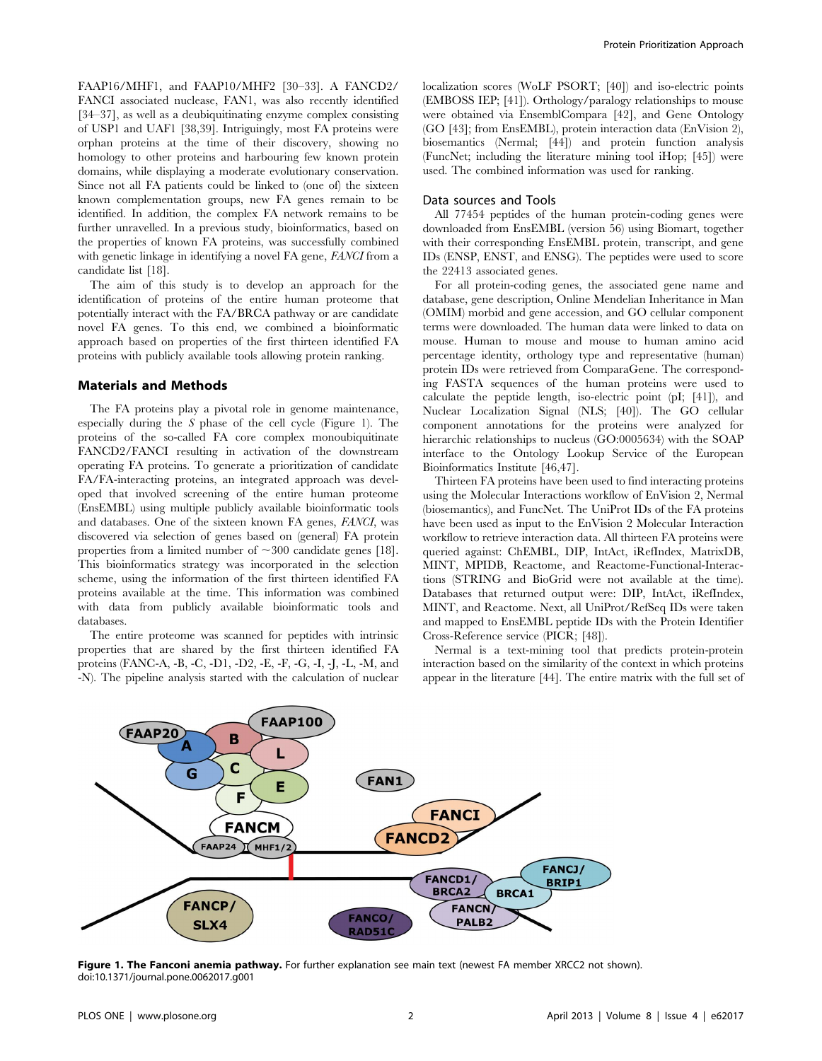FAAP16/MHF1, and FAAP10/MHF2 [30–33]. A FANCD2/ FANCI associated nuclease, FAN1, was also recently identified [34–37], as well as a deubiquitinating enzyme complex consisting of USP1 and UAF1 [38,39]. Intriguingly, most FA proteins were orphan proteins at the time of their discovery, showing no homology to other proteins and harbouring few known protein domains, while displaying a moderate evolutionary conservation. Since not all FA patients could be linked to (one of) the sixteen known complementation groups, new FA genes remain to be identified. In addition, the complex FA network remains to be further unravelled. In a previous study, bioinformatics, based on the properties of known FA proteins, was successfully combined with genetic linkage in identifying a novel FA gene, FANCI from a candidate list [18].

The aim of this study is to develop an approach for the identification of proteins of the entire human proteome that potentially interact with the FA/BRCA pathway or are candidate novel FA genes. To this end, we combined a bioinformatic approach based on properties of the first thirteen identified FA proteins with publicly available tools allowing protein ranking.

# Materials and Methods

The FA proteins play a pivotal role in genome maintenance, especially during the S phase of the cell cycle (Figure 1). The proteins of the so-called FA core complex monoubiquitinate FANCD2/FANCI resulting in activation of the downstream operating FA proteins. To generate a prioritization of candidate FA/FA-interacting proteins, an integrated approach was developed that involved screening of the entire human proteome (EnsEMBL) using multiple publicly available bioinformatic tools and databases. One of the sixteen known FA genes, FANCI, was discovered via selection of genes based on (general) FA protein properties from a limited number of  $\sim 300$  candidate genes [18]. This bioinformatics strategy was incorporated in the selection scheme, using the information of the first thirteen identified FA proteins available at the time. This information was combined with data from publicly available bioinformatic tools and databases.

The entire proteome was scanned for peptides with intrinsic properties that are shared by the first thirteen identified FA proteins (FANC-A, -B, -C, -D1, -D2, -E, -F, -G, -I, -J, -L, -M, and -N). The pipeline analysis started with the calculation of nuclear localization scores (WoLF PSORT; [40]) and iso-electric points (EMBOSS IEP; [41]). Orthology/paralogy relationships to mouse were obtained via EnsemblCompara [42], and Gene Ontology (GO [43]; from EnsEMBL), protein interaction data (EnVision 2), biosemantics (Nermal; [44]) and protein function analysis (FuncNet; including the literature mining tool iHop; [45]) were used. The combined information was used for ranking.

#### Data sources and Tools

All 77454 peptides of the human protein-coding genes were downloaded from EnsEMBL (version 56) using Biomart, together with their corresponding EnsEMBL protein, transcript, and gene IDs (ENSP, ENST, and ENSG). The peptides were used to score the 22413 associated genes.

For all protein-coding genes, the associated gene name and database, gene description, Online Mendelian Inheritance in Man (OMIM) morbid and gene accession, and GO cellular component terms were downloaded. The human data were linked to data on mouse. Human to mouse and mouse to human amino acid percentage identity, orthology type and representative (human) protein IDs were retrieved from ComparaGene. The corresponding FASTA sequences of the human proteins were used to calculate the peptide length, iso-electric point (pI; [41]), and Nuclear Localization Signal (NLS; [40]). The GO cellular component annotations for the proteins were analyzed for hierarchic relationships to nucleus (GO:0005634) with the SOAP interface to the Ontology Lookup Service of the European Bioinformatics Institute [46,47].

Thirteen FA proteins have been used to find interacting proteins using the Molecular Interactions workflow of EnVision 2, Nermal (biosemantics), and FuncNet. The UniProt IDs of the FA proteins have been used as input to the EnVision 2 Molecular Interaction workflow to retrieve interaction data. All thirteen FA proteins were queried against: ChEMBL, DIP, IntAct, iRefIndex, MatrixDB, MINT, MPIDB, Reactome, and Reactome-Functional-Interactions (STRING and BioGrid were not available at the time). Databases that returned output were: DIP, IntAct, iRefIndex, MINT, and Reactome. Next, all UniProt/RefSeq IDs were taken and mapped to EnsEMBL peptide IDs with the Protein Identifier Cross-Reference service (PICR; [48]).

Nermal is a text-mining tool that predicts protein-protein interaction based on the similarity of the context in which proteins appear in the literature [44]. The entire matrix with the full set of



Figure 1. The Fanconi anemia pathway. For further explanation see main text (newest FA member XRCC2 not shown). doi:10.1371/journal.pone.0062017.g001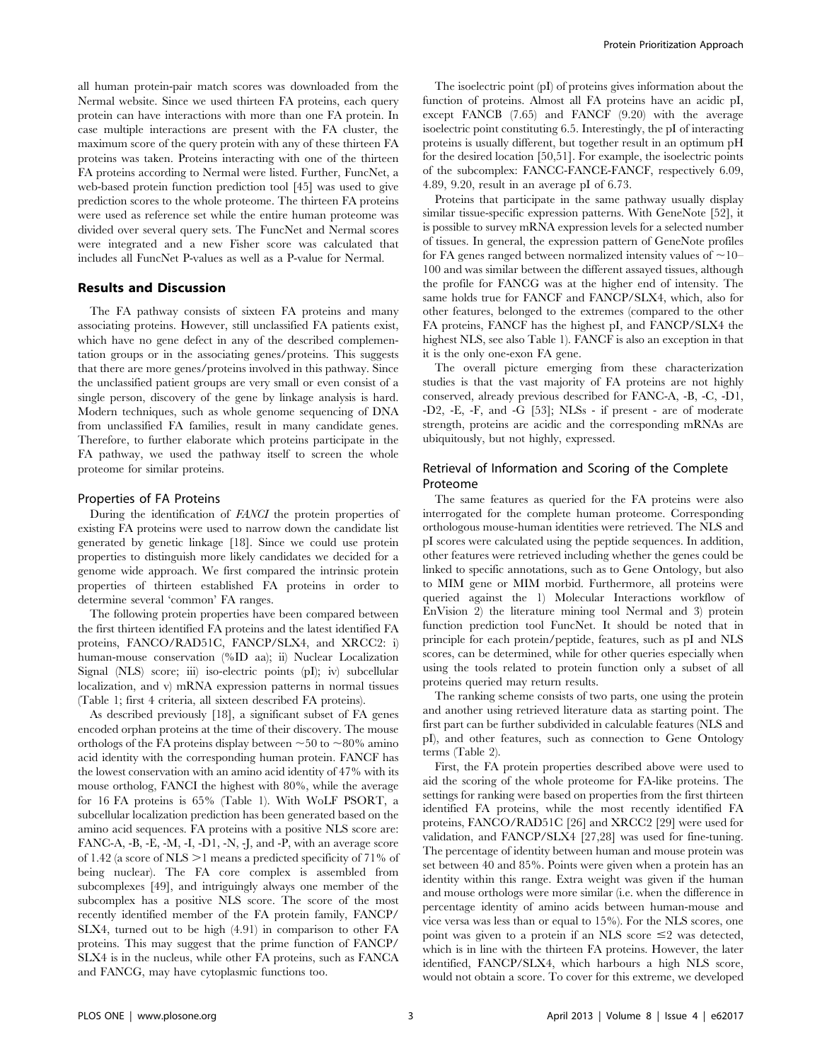all human protein-pair match scores was downloaded from the Nermal website. Since we used thirteen FA proteins, each query protein can have interactions with more than one FA protein. In case multiple interactions are present with the FA cluster, the maximum score of the query protein with any of these thirteen FA proteins was taken. Proteins interacting with one of the thirteen FA proteins according to Nermal were listed. Further, FuncNet, a web-based protein function prediction tool [45] was used to give prediction scores to the whole proteome. The thirteen FA proteins were used as reference set while the entire human proteome was divided over several query sets. The FuncNet and Nermal scores were integrated and a new Fisher score was calculated that includes all FuncNet P-values as well as a P-value for Nermal.

#### Results and Discussion

The FA pathway consists of sixteen FA proteins and many associating proteins. However, still unclassified FA patients exist, which have no gene defect in any of the described complementation groups or in the associating genes/proteins. This suggests that there are more genes/proteins involved in this pathway. Since the unclassified patient groups are very small or even consist of a single person, discovery of the gene by linkage analysis is hard. Modern techniques, such as whole genome sequencing of DNA from unclassified FA families, result in many candidate genes. Therefore, to further elaborate which proteins participate in the FA pathway, we used the pathway itself to screen the whole proteome for similar proteins.

# Properties of FA Proteins

During the identification of FANCI the protein properties of existing FA proteins were used to narrow down the candidate list generated by genetic linkage [18]. Since we could use protein properties to distinguish more likely candidates we decided for a genome wide approach. We first compared the intrinsic protein properties of thirteen established FA proteins in order to determine several 'common' FA ranges.

The following protein properties have been compared between the first thirteen identified FA proteins and the latest identified FA proteins, FANCO/RAD51C, FANCP/SLX4, and XRCC2: i) human-mouse conservation (%ID aa); ii) Nuclear Localization Signal (NLS) score; iii) iso-electric points (pI); iv) subcellular localization, and v) mRNA expression patterns in normal tissues (Table 1; first 4 criteria, all sixteen described FA proteins).

As described previously [18], a significant subset of FA genes encoded orphan proteins at the time of their discovery. The mouse orthologs of the FA proteins display between  $\sim$  50 to  $\sim$  80% amino acid identity with the corresponding human protein. FANCF has the lowest conservation with an amino acid identity of 47% with its mouse ortholog, FANCI the highest with 80%, while the average for 16 FA proteins is 65% (Table 1). With WoLF PSORT, a subcellular localization prediction has been generated based on the amino acid sequences. FA proteins with a positive NLS score are: FANC-A, -B, -E, -M, -I, -D1, -N, -J, and -P, with an average score of 1.42 (a score of NLS  $>1$  means a predicted specificity of 71% of being nuclear). The FA core complex is assembled from subcomplexes [49], and intriguingly always one member of the subcomplex has a positive NLS score. The score of the most recently identified member of the FA protein family, FANCP/ SLX4, turned out to be high (4.91) in comparison to other FA proteins. This may suggest that the prime function of FANCP/ SLX4 is in the nucleus, while other FA proteins, such as FANCA and FANCG, may have cytoplasmic functions too.

The isoelectric point (pI) of proteins gives information about the function of proteins. Almost all FA proteins have an acidic pI, except FANCB (7.65) and FANCF (9.20) with the average isoelectric point constituting 6.5. Interestingly, the pI of interacting proteins is usually different, but together result in an optimum pH for the desired location [50,51]. For example, the isoelectric points of the subcomplex: FANCC-FANCE-FANCF, respectively 6.09, 4.89, 9.20, result in an average pI of 6.73.

Proteins that participate in the same pathway usually display similar tissue-specific expression patterns. With GeneNote [52], it is possible to survey mRNA expression levels for a selected number of tissues. In general, the expression pattern of GeneNote profiles for FA genes ranged between normalized intensity values of  $\sim$  10– 100 and was similar between the different assayed tissues, although the profile for FANCG was at the higher end of intensity. The same holds true for FANCF and FANCP/SLX4, which, also for other features, belonged to the extremes (compared to the other FA proteins, FANCF has the highest pI, and FANCP/SLX4 the highest NLS, see also Table 1). FANCF is also an exception in that it is the only one-exon FA gene.

The overall picture emerging from these characterization studies is that the vast majority of FA proteins are not highly conserved, already previous described for FANC-A, -B, -C, -D1, -D2, -E, -F, and -G [53]; NLSs - if present - are of moderate strength, proteins are acidic and the corresponding mRNAs are ubiquitously, but not highly, expressed.

# Retrieval of Information and Scoring of the Complete Proteome

The same features as queried for the FA proteins were also interrogated for the complete human proteome. Corresponding orthologous mouse-human identities were retrieved. The NLS and pI scores were calculated using the peptide sequences. In addition, other features were retrieved including whether the genes could be linked to specific annotations, such as to Gene Ontology, but also to MIM gene or MIM morbid. Furthermore, all proteins were queried against the 1) Molecular Interactions workflow of EnVision 2) the literature mining tool Nermal and 3) protein function prediction tool FuncNet. It should be noted that in principle for each protein/peptide, features, such as pI and NLS scores, can be determined, while for other queries especially when using the tools related to protein function only a subset of all proteins queried may return results.

The ranking scheme consists of two parts, one using the protein and another using retrieved literature data as starting point. The first part can be further subdivided in calculable features (NLS and pI), and other features, such as connection to Gene Ontology terms (Table 2).

First, the FA protein properties described above were used to aid the scoring of the whole proteome for FA-like proteins. The settings for ranking were based on properties from the first thirteen identified FA proteins, while the most recently identified FA proteins, FANCO/RAD51C [26] and XRCC2 [29] were used for validation, and FANCP/SLX4 [27,28] was used for fine-tuning. The percentage of identity between human and mouse protein was set between 40 and 85%. Points were given when a protein has an identity within this range. Extra weight was given if the human and mouse orthologs were more similar (i.e. when the difference in percentage identity of amino acids between human-mouse and vice versa was less than or equal to 15%). For the NLS scores, one point was given to a protein if an NLS score  $\leq$  was detected, which is in line with the thirteen FA proteins. However, the later identified, FANCP/SLX4, which harbours a high NLS score, would not obtain a score. To cover for this extreme, we developed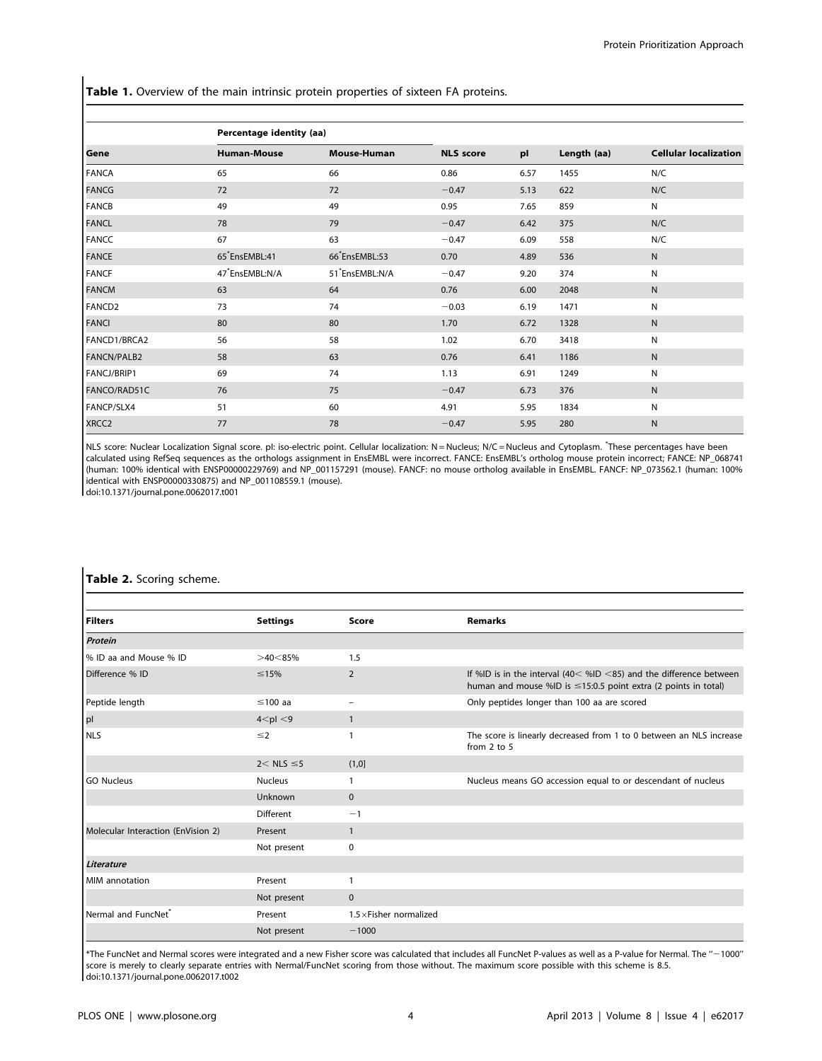Table 1. Overview of the main intrinsic protein properties of sixteen FA proteins.

|                    | Percentage identity (aa)    |                             |                  |      |             |                              |
|--------------------|-----------------------------|-----------------------------|------------------|------|-------------|------------------------------|
| Gene               | <b>Human-Mouse</b>          | Mouse-Human                 | <b>NLS</b> score | pl   | Length (aa) | <b>Cellular localization</b> |
| FANCA              | 65                          | 66                          | 0.86             | 6.57 | 1455        | N/C                          |
| FANCG              | 72                          | 72                          | $-0.47$          | 5.13 | 622         | N/C                          |
| FANCB              | 49                          | 49                          | 0.95             | 7.65 | 859         | N                            |
| FANCL              | 78                          | 79                          | $-0.47$          | 6.42 | 375         | N/C                          |
| FANCC              | 67                          | 63                          | $-0.47$          | 6.09 | 558         | N/C                          |
| <b>FANCE</b>       | 65 EnsEMBL:41               | 66 <sup>*</sup> EnsEMBL:53  | 0.70             | 4.89 | 536         | ${\sf N}$                    |
| FANCF              | 47 <sup>*</sup> EnsEMBL:N/A | 51 <sup>*</sup> EnsEMBL:N/A | $-0.47$          | 9.20 | 374         | N                            |
| FANCM              | 63                          | 64                          | 0.76             | 6.00 | 2048        | N                            |
| FANCD <sub>2</sub> | 73                          | 74                          | $-0.03$          | 6.19 | 1471        | N                            |
| FANCI              | 80                          | 80                          | 1.70             | 6.72 | 1328        | N                            |
| FANCD1/BRCA2       | 56                          | 58                          | 1.02             | 6.70 | 3418        | ${\sf N}$                    |
| <b>FANCN/PALB2</b> | 58                          | 63                          | 0.76             | 6.41 | 1186        | ${\sf N}$                    |
| FANCJ/BRIP1        | 69                          | 74                          | 1.13             | 6.91 | 1249        | ${\sf N}$                    |
| FANCO/RAD51C       | 76                          | 75                          | $-0.47$          | 6.73 | 376         | $\mathsf{N}$                 |
| FANCP/SLX4         | 51                          | 60                          | 4.91             | 5.95 | 1834        | ${\sf N}$                    |
| XRCC <sub>2</sub>  | 77                          | 78                          | $-0.47$          | 5.95 | 280         | $\mathsf{N}$                 |

NLS score: Nuclear Localization Signal score. pl: iso-electric point. Cellular localization: N = Nucleus; N/C = Nucleus and Cytoplasm. These percentages have been calculated using RefSeq sequences as the orthologs assignment in EnsEMBL were incorrect. FANCE: EnsEMBL's ortholog mouse protein incorrect; FANCE: NP\_068741 (human: 100% identical with ENSP00000229769) and NP\_001157291 (mouse). FANCF: no mouse ortholog available in EnsEMBL. FANCF: NP\_073562.1 (human: 100% identical with ENSP00000330875) and NP\_001108559.1 (mouse).

doi:10.1371/journal.pone.0062017.t001

# Table 2. Scoring scheme.

| Filters                            | <b>Settings</b>  | Score                          | <b>Remarks</b>                                                                                                                             |
|------------------------------------|------------------|--------------------------------|--------------------------------------------------------------------------------------------------------------------------------------------|
| Protein                            |                  |                                |                                                                                                                                            |
| % ID aa and Mouse % ID             | >40<85%          | 1.5                            |                                                                                                                                            |
| Difference % ID                    | $\leq 15\%$      | $\overline{2}$                 | If %ID is in the interval (40< %ID <85) and the difference between<br>human and mouse %ID is $\leq$ 15:0.5 point extra (2 points in total) |
| Peptide length                     | $\leq 100$ aa    | $\overline{\phantom{0}}$       | Only peptides longer than 100 aa are scored                                                                                                |
| p                                  | 4 < p1 < 9       | 1                              |                                                                                                                                            |
| <b>NLS</b>                         | $\leq$ 2         | 1                              | The score is linearly decreased from 1 to 0 between an NLS increase<br>from 2 to 5                                                         |
|                                    | $2 < NLS \leq 5$ | (1, 0]                         |                                                                                                                                            |
| <b>GO Nucleus</b>                  | <b>Nucleus</b>   |                                | Nucleus means GO accession equal to or descendant of nucleus                                                                               |
|                                    | Unknown          | $\mathbf{0}$                   |                                                                                                                                            |
|                                    | <b>Different</b> | $-1$                           |                                                                                                                                            |
| Molecular Interaction (EnVision 2) | Present          | 1                              |                                                                                                                                            |
|                                    | Not present      | 0                              |                                                                                                                                            |
| Literature                         |                  |                                |                                                                                                                                            |
| MIM annotation                     | Present          |                                |                                                                                                                                            |
|                                    | Not present      | $\mathbf 0$                    |                                                                                                                                            |
| Nermal and FuncNet <sup>*</sup>    | Present          | $1.5 \times$ Fisher normalized |                                                                                                                                            |
|                                    | Not present      | $-1000$                        |                                                                                                                                            |

\*The FuncNet and Nermal scores were integrated and a new Fisher score was calculated that includes all FuncNet P-values as well as a P-value for Nermal. The ''21000'' score is merely to clearly separate entries with Nermal/FuncNet scoring from those without. The maximum score possible with this scheme is 8.5. doi:10.1371/journal.pone.0062017.t002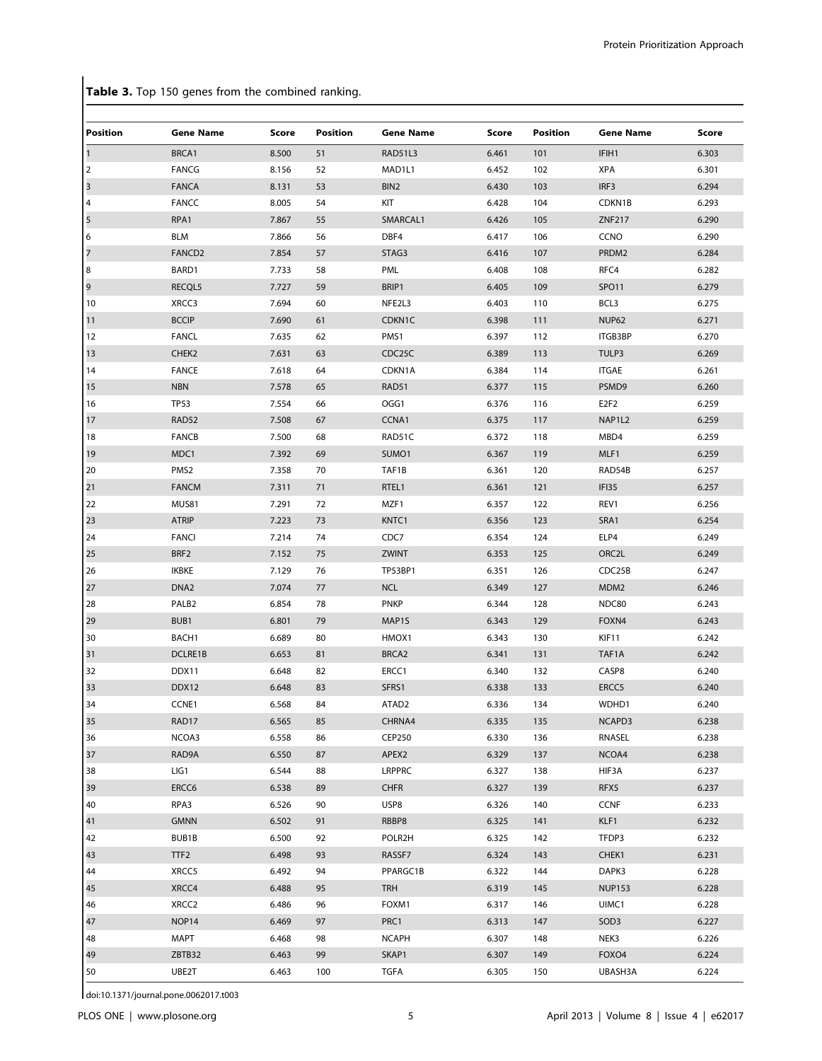Table 3. Top 150 genes from the combined ranking.

| Position                 | <b>Gene Name</b>   | Score | Position | <b>Gene Name</b>    | Score | Position | <b>Gene Name</b>            | Score |
|--------------------------|--------------------|-------|----------|---------------------|-------|----------|-----------------------------|-------|
| $\mathbf{1}$             | BRCA1              | 8.500 | 51       | RAD51L3             | 6.461 | 101      | IFIH <sub>1</sub>           | 6.303 |
| 2                        | <b>FANCG</b>       | 8.156 | 52       | MAD1L1              | 6.452 | 102      | <b>XPA</b>                  | 6.301 |
| $\vert$ <sub>3</sub>     | <b>FANCA</b>       | 8.131 | 53       | BIN <sub>2</sub>    | 6.430 | 103      | IRF3                        | 6.294 |
| 4                        | <b>FANCC</b>       | 8.005 | 54       | KIT                 | 6.428 | 104      | CDKN1B                      | 6.293 |
| $\overline{\phantom{a}}$ | RPA1               | 7.867 | 55       | SMARCAL1            | 6.426 | 105      | <b>ZNF217</b>               | 6.290 |
| 6                        | <b>BLM</b>         | 7.866 | 56       | DBF4                | 6.417 | 106      | <b>CCNO</b>                 | 6.290 |
| 7                        | FANCD <sub>2</sub> | 7.854 | 57       | STAG3               | 6.416 | 107      | PRDM2                       | 6.284 |
| 8                        | BARD1              | 7.733 | 58       | PML                 | 6.408 | 108      | RFC4                        | 6.282 |
| 9                        | RECQL5             | 7.727 | 59       | BRIP1               | 6.405 | 109      | <b>SPO11</b>                | 6.279 |
| 10                       | XRCC3              | 7.694 | 60       | NFE2L3              | 6.403 | 110      | BCL3                        | 6.275 |
| 11                       | <b>BCCIP</b>       | 7.690 | 61       | CDKN1C              | 6.398 | 111      | <b>NUP62</b>                | 6.271 |
| 12                       | <b>FANCL</b>       | 7.635 | 62       | PMS1                | 6.397 | 112      | <b>ITGB3BP</b>              | 6.270 |
| 13                       | CHEK2              | 7.631 | 63       | CDC <sub>25</sub> C | 6.389 | 113      | TULP3                       | 6.269 |
| 14                       | <b>FANCE</b>       | 7.618 | 64       | CDKN1A              | 6.384 | 114      | <b>ITGAE</b>                | 6.261 |
| 15                       | <b>NBN</b>         | 7.578 | 65       | RAD51               | 6.377 | 115      | PSMD9                       | 6.260 |
| 16                       | <b>TP53</b>        | 7.554 | 66       | OGG1                | 6.376 | 116      | E <sub>2F<sub>2</sub></sub> | 6.259 |
| 17                       | RAD52              | 7.508 | 67       | CCNA1               | 6.375 | 117      | NAP1L2                      | 6.259 |
| 18                       | <b>FANCB</b>       | 7.500 | 68       | RAD51C              | 6.372 | 118      | MBD4                        | 6.259 |
| 19                       | MDC1               | 7.392 | 69       | SUMO1               | 6.367 | 119      | MLF1                        | 6.259 |
| 20                       | PMS <sub>2</sub>   | 7.358 | 70       | TAF1B               | 6.361 | 120      | RAD54B                      | 6.257 |
| 21                       | <b>FANCM</b>       | 7.311 | 71       | RTEL <sub>1</sub>   | 6.361 | 121      | IFI35                       | 6.257 |
| 22                       | MUS81              | 7.291 | 72       | MZF1                | 6.357 | 122      | REV1                        | 6.256 |
| 23                       | <b>ATRIP</b>       | 7.223 | 73       | KNTC1               | 6.356 | 123      | SRA1                        | 6.254 |
| 24                       | <b>FANCI</b>       | 7.214 | 74       | CDC7                | 6.354 | 124      | ELP4                        | 6.249 |
| 25                       | BRF <sub>2</sub>   | 7.152 | 75       | ZWINT               | 6.353 | 125      | ORC2L                       | 6.249 |
| 26                       | IKBKE              | 7.129 | 76       | TP53BP1             | 6.351 | 126      | CDC25B                      | 6.247 |
| 27                       | DNA <sub>2</sub>   | 7.074 | 77       | <b>NCL</b>          | 6.349 | 127      | MDM <sub>2</sub>            | 6.246 |
| 28                       | PALB <sub>2</sub>  | 6.854 | 78       | <b>PNKP</b>         | 6.344 | 128      | NDC80                       | 6.243 |
| 29                       | BUB1               | 6.801 | 79       | MAP1S               | 6.343 | 129      | FOXN4                       | 6.243 |
| 30                       | BACH1              | 6.689 | 80       | HMOX1               | 6.343 | 130      | KIF11                       | 6.242 |
| 31                       | DCLRE1B            | 6.653 | 81       | BRCA <sub>2</sub>   | 6.341 | 131      | TAF1A                       | 6.242 |
| 32                       | DDX11              | 6.648 | 82       | ERCC1               | 6.340 | 132      | CASP8                       | 6.240 |
| 33                       | DDX12              | 6.648 | 83       | SFRS1               | 6.338 | 133      | ERCC <sub>5</sub>           | 6.240 |
| 34                       | CCNE1              | 6.568 | 84       | ATAD <sub>2</sub>   | 6.336 | 134      | WDHD1                       | 6.240 |
| 35                       | RAD17              | 6.565 | 85       | CHRNA4              | 6.335 | 135      | NCAPD3                      | 6.238 |
| 36                       | NCOA3              | 6.558 | 86       | <b>CEP250</b>       | 6.330 | 136      | RNASEL                      | 6.238 |
| 37                       | RAD9A              | 6.550 | 87       | APEX2               | 6.329 | 137      | NCOA4                       | 6.238 |
| 38                       | LIG1               | 6.544 | 88       | <b>LRPPRC</b>       | 6.327 | 138      | HIF3A                       | 6.237 |
| 39                       | ERCC6              | 6.538 | 89       | <b>CHFR</b>         | 6.327 | 139      | RFX5                        | 6.237 |
| 40                       | RPA3               | 6.526 | 90       | USP8                | 6.326 | 140      | <b>CCNF</b>                 | 6.233 |
| 41                       | <b>GMNN</b>        | 6.502 | 91       | RBBP8               | 6.325 | 141      | KLF1                        | 6.232 |
| 42                       | BUB1B              | 6.500 | 92       | POLR2H              | 6.325 | 142      | TFDP3                       | 6.232 |
| 43                       | TTF <sub>2</sub>   | 6.498 | 93       | RASSF7              | 6.324 | 143      | CHEK1                       | 6.231 |
| 44                       | XRCC5              | 6.492 | 94       | PPARGC1B            | 6.322 | 144      | DAPK3                       | 6.228 |
| 45                       | XRCC4              | 6.488 | 95       | <b>TRH</b>          | 6.319 | 145      | <b>NUP153</b>               | 6.228 |
| 46                       | XRCC <sub>2</sub>  | 6.486 | 96       | FOXM1               | 6.317 | 146      | UIMC1                       | 6.228 |
| 47                       | NOP14              | 6.469 | 97       | PRC1                | 6.313 | 147      | SOD3                        | 6.227 |
| 48                       | MAPT               | 6.468 | 98       | <b>NCAPH</b>        | 6.307 | 148      | NEK3                        | 6.226 |
| 49                       | ZBTB32             | 6.463 | 99       | SKAP1               | 6.307 | 149      | FOXO4                       | 6.224 |
| 50                       | UBE2T              | 6.463 | 100      | <b>TGFA</b>         | 6.305 | 150      | UBASH3A                     | 6.224 |

doi:10.1371/journal.pone.0062017.t003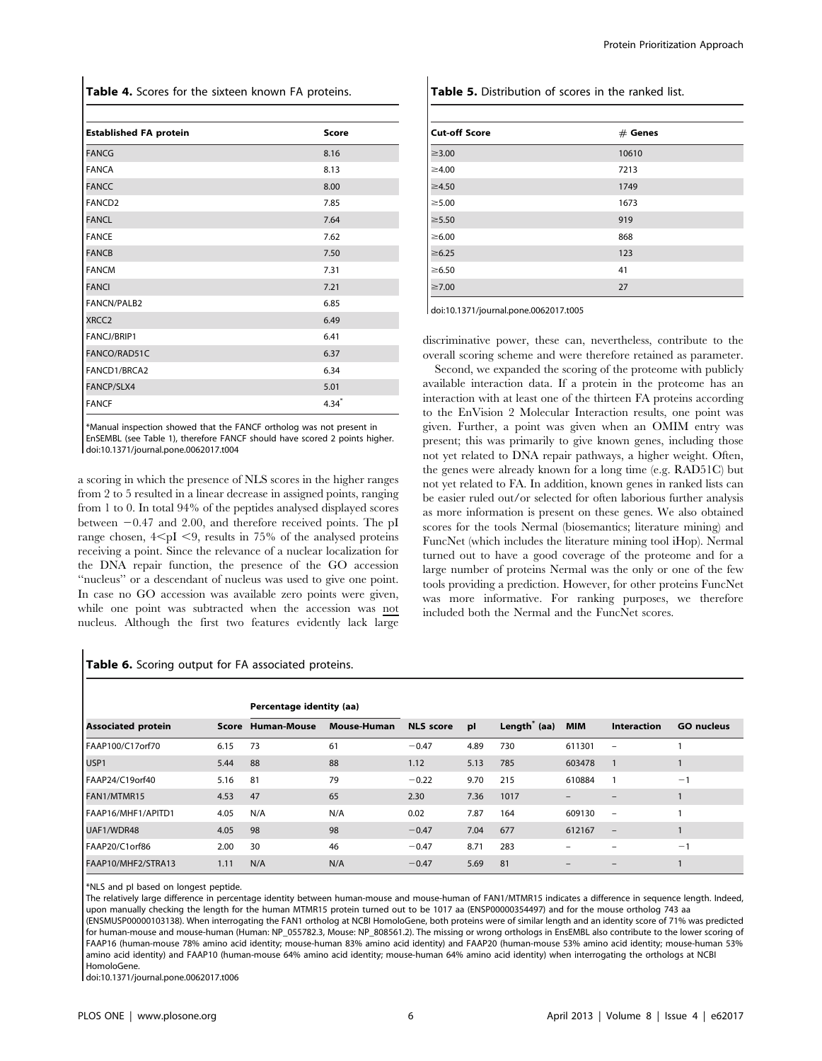Table 4. Scores for the sixteen known FA proteins.

| Score   |
|---------|
| 8.16    |
| 8.13    |
| 8.00    |
| 7.85    |
| 7.64    |
| 7.62    |
| 7.50    |
| 7.31    |
| 7.21    |
| 6.85    |
| 6.49    |
| 6.41    |
| 6.37    |
| 6.34    |
| 5.01    |
| $4.34*$ |
|         |

\*Manual inspection showed that the FANCF ortholog was not present in EnSEMBL (see Table 1), therefore FANCF should have scored 2 points higher. doi:10.1371/journal.pone.0062017.t004

a scoring in which the presence of NLS scores in the higher ranges from 2 to 5 resulted in a linear decrease in assigned points, ranging from 1 to 0. In total 94% of the peptides analysed displayed scores between  $-0.47$  and 2.00, and therefore received points. The pI range chosen,  $4\leq pI \leq 9$ , results in 75% of the analysed proteins receiving a point. Since the relevance of a nuclear localization for the DNA repair function, the presence of the GO accession ''nucleus'' or a descendant of nucleus was used to give one point. In case no GO accession was available zero points were given, while one point was subtracted when the accession was not nucleus. Although the first two features evidently lack large

| <b>Cut-off Score</b> | $#$ Genes |
|----------------------|-----------|
| $\geq$ 3.00          | 10610     |
| $\geq 4.00$          | 7213      |
| $\geq 4.50$          | 1749      |
| $\geq 5.00$          | 1673      |
| $\geq$ 5.50          | 919       |
| $\geq 6.00$          | 868       |
| $\geq 6.25$          | 123       |
| $\geq 6.50$          | 41        |
| $\geq 7.00$          | 27        |

doi:10.1371/journal.pone.0062017.t005

discriminative power, these can, nevertheless, contribute to the overall scoring scheme and were therefore retained as parameter.

Second, we expanded the scoring of the proteome with publicly available interaction data. If a protein in the proteome has an interaction with at least one of the thirteen FA proteins according to the EnVision 2 Molecular Interaction results, one point was given. Further, a point was given when an OMIM entry was present; this was primarily to give known genes, including those not yet related to DNA repair pathways, a higher weight. Often, the genes were already known for a long time (e.g. RAD51C) but not yet related to FA. In addition, known genes in ranked lists can be easier ruled out/or selected for often laborious further analysis as more information is present on these genes. We also obtained scores for the tools Nermal (biosemantics; literature mining) and FuncNet (which includes the literature mining tool iHop). Nermal turned out to have a good coverage of the proteome and for a large number of proteins Nermal was the only or one of the few tools providing a prediction. However, for other proteins FuncNet was more informative. For ranking purposes, we therefore included both the Nermal and the FuncNet scores.

|                           |       | Percentage identity (aa) |                    |                  |      |                          |            |                          |                   |
|---------------------------|-------|--------------------------|--------------------|------------------|------|--------------------------|------------|--------------------------|-------------------|
| <b>Associated protein</b> | Score | <b>Human-Mouse</b>       | <b>Mouse-Human</b> | <b>NLS</b> score | pl   | Length <sup>"</sup> (aa) | <b>MIM</b> | <b>Interaction</b>       | <b>GO nucleus</b> |
| FAAP100/C17orf70          | 6.15  | 73                       | 61                 | $-0.47$          | 4.89 | 730                      | 611301     | $\overline{\phantom{0}}$ |                   |
| USP <sub>1</sub>          | 5.44  | 88                       | 88                 | 1.12             | 5.13 | 785                      | 603478     |                          |                   |
| FAAP24/C19orf40           | 5.16  | 81                       | 79                 | $-0.22$          | 9.70 | 215                      | 610884     |                          | $-1$              |
| FAN1/MTMR15               | 4.53  | 47                       | 65                 | 2.30             | 7.36 | 1017                     |            |                          |                   |
| FAAP16/MHF1/APITD1        | 4.05  | N/A                      | N/A                | 0.02             | 7.87 | 164                      | 609130     | $\overline{\phantom{0}}$ |                   |
| UAF1/WDR48                | 4.05  | 98                       | 98                 | $-0.47$          | 7.04 | 677                      | 612167     | $\overline{\phantom{0}}$ |                   |
| FAAP20/C1orf86            | 2.00  | 30                       | 46                 | $-0.47$          | 8.71 | 283                      |            |                          | $-1$              |
| FAAP10/MHF2/STRA13        | 1.11  | N/A                      | N/A                | $-0.47$          | 5.69 | 81                       |            |                          |                   |

\*NLS and pI based on longest peptide.

 $\mathbf{I}$ 

The relatively large difference in percentage identity between human-mouse and mouse-human of FAN1/MTMR15 indicates a difference in sequence length. Indeed, upon manually checking the length for the human MTMR15 protein turned out to be 1017 aa (ENSP00000354497) and for the mouse ortholog 743 aa (ENSMUSP00000103138). When interrogating the FAN1 ortholog at NCBI HomoloGene, both proteins were of similar length and an identity score of 71% was predicted for human-mouse and mouse-human (Human: NP\_055782.3, Mouse: NP\_808561.2). The missing or wrong orthologs in EnsEMBL also contribute to the lower scoring of FAAP16 (human-mouse 78% amino acid identity; mouse-human 83% amino acid identity) and FAAP20 (human-mouse 53% amino acid identity; mouse-human 53% amino acid identity) and FAAP10 (human-mouse 64% amino acid identity; mouse-human 64% amino acid identity) when interrogating the orthologs at NCBI HomoloGene.

doi:10.1371/journal.pone.0062017.t006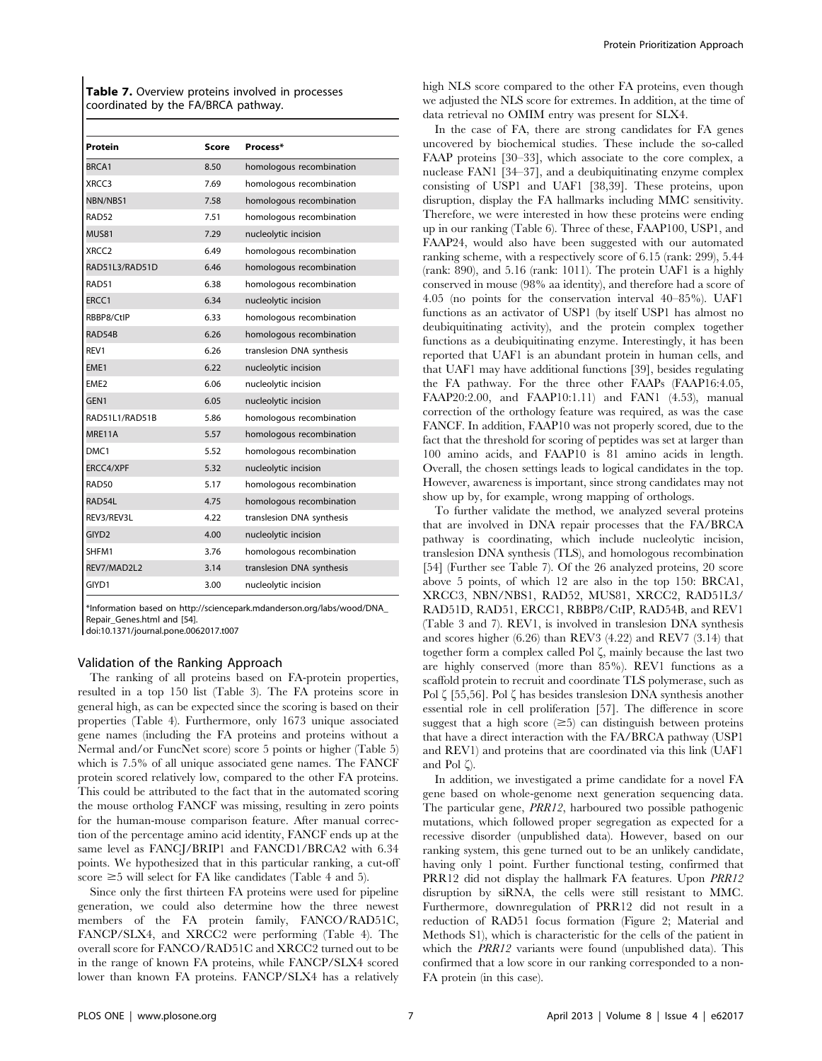Table 7. Overview proteins involved in processes coordinated by the FA/BRCA pathway.

| Protein           | Score | Process*                  |
|-------------------|-------|---------------------------|
| BRCA1             | 8.50  | homologous recombination  |
| XRCC3             | 7.69  | homologous recombination  |
| NBN/NBS1          | 7.58  | homologous recombination  |
| RAD52             | 7.51  | homologous recombination  |
| <b>MUS81</b>      | 7.29  | nucleolytic incision      |
| XRCC <sub>2</sub> | 6.49  | homologous recombination  |
| RAD51L3/RAD51D    | 6.46  | homologous recombination  |
| RAD51             | 6.38  | homologous recombination  |
| ERCC1             | 6.34  | nucleolytic incision      |
| RBBP8/CtIP        | 6.33  | homologous recombination  |
| RAD54B            | 6.26  | homologous recombination  |
| REV1              | 6.26  | translesion DNA synthesis |
| EME1              | 6.22  | nucleolytic incision      |
| EME <sub>2</sub>  | 6.06  | nucleolytic incision      |
| GEN <sub>1</sub>  | 6.05  | nucleolytic incision      |
| RAD51L1/RAD51B    | 5.86  | homologous recombination  |
| MRE11A            | 5.57  | homologous recombination  |
| DMC1              | 5.52  | homologous recombination  |
| ERCC4/XPF         | 5.32  | nucleolytic incision      |
| RAD50             | 5.17  | homologous recombination  |
| RAD54L            | 4.75  | homologous recombination  |
| REV3/REV3L        | 4.22  | translesion DNA synthesis |
| GIYD <sub>2</sub> | 4.00  | nucleolytic incision      |
| SHFM1             | 3.76  | homologous recombination  |
| REV7/MAD2L2       | 3.14  | translesion DNA synthesis |
| GIYD1             | 3.00  | nucleolytic incision      |

\*Information based on http://sciencepark.mdanderson.org/labs/wood/DNA\_ Repair Genes.html and [54].

doi:10.1371/journal.pone.0062017.t007

### Validation of the Ranking Approach

The ranking of all proteins based on FA-protein properties, resulted in a top 150 list (Table 3). The FA proteins score in general high, as can be expected since the scoring is based on their properties (Table 4). Furthermore, only 1673 unique associated gene names (including the FA proteins and proteins without a Nermal and/or FuncNet score) score 5 points or higher (Table 5) which is 7.5% of all unique associated gene names. The FANCF protein scored relatively low, compared to the other FA proteins. This could be attributed to the fact that in the automated scoring the mouse ortholog FANCF was missing, resulting in zero points for the human-mouse comparison feature. After manual correction of the percentage amino acid identity, FANCF ends up at the same level as FANCJ/BRIP1 and FANCD1/BRCA2 with 6.34 points. We hypothesized that in this particular ranking, a cut-off score  $\geq$ 5 will select for FA like candidates (Table 4 and 5).

Since only the first thirteen FA proteins were used for pipeline generation, we could also determine how the three newest members of the FA protein family, FANCO/RAD51C, FANCP/SLX4, and XRCC2 were performing (Table 4). The overall score for FANCO/RAD51C and XRCC2 turned out to be in the range of known FA proteins, while FANCP/SLX4 scored lower than known FA proteins. FANCP/SLX4 has a relatively

high NLS score compared to the other FA proteins, even though we adjusted the NLS score for extremes. In addition, at the time of data retrieval no OMIM entry was present for SLX4.

In the case of FA, there are strong candidates for FA genes uncovered by biochemical studies. These include the so-called FAAP proteins [30–33], which associate to the core complex, a nuclease FAN1 [34–37], and a deubiquitinating enzyme complex consisting of USP1 and UAF1 [38,39]. These proteins, upon disruption, display the FA hallmarks including MMC sensitivity. Therefore, we were interested in how these proteins were ending up in our ranking (Table 6). Three of these, FAAP100, USP1, and FAAP24, would also have been suggested with our automated ranking scheme, with a respectively score of 6.15 (rank: 299), 5.44 (rank: 890), and 5.16 (rank: 1011). The protein UAF1 is a highly conserved in mouse (98% aa identity), and therefore had a score of 4.05 (no points for the conservation interval 40–85%). UAF1 functions as an activator of USP1 (by itself USP1 has almost no deubiquitinating activity), and the protein complex together functions as a deubiquitinating enzyme. Interestingly, it has been reported that UAF1 is an abundant protein in human cells, and that UAF1 may have additional functions [39], besides regulating the FA pathway. For the three other FAAPs (FAAP16:4.05, FAAP20:2.00, and FAAP10:1.11) and FAN1 (4.53), manual correction of the orthology feature was required, as was the case FANCF. In addition, FAAP10 was not properly scored, due to the fact that the threshold for scoring of peptides was set at larger than 100 amino acids, and FAAP10 is 81 amino acids in length. Overall, the chosen settings leads to logical candidates in the top. However, awareness is important, since strong candidates may not show up by, for example, wrong mapping of orthologs.

To further validate the method, we analyzed several proteins that are involved in DNA repair processes that the FA/BRCA pathway is coordinating, which include nucleolytic incision, translesion DNA synthesis (TLS), and homologous recombination [54] (Further see Table 7). Of the 26 analyzed proteins, 20 score above 5 points, of which 12 are also in the top 150: BRCA1, XRCC3, NBN/NBS1, RAD52, MUS81, XRCC2, RAD51L3/ RAD51D, RAD51, ERCC1, RBBP8/CtIP, RAD54B, and REV1 (Table 3 and 7). REV1, is involved in translesion DNA synthesis and scores higher (6.26) than REV3 (4.22) and REV7 (3.14) that together form a complex called Pol  $\zeta$ , mainly because the last two are highly conserved (more than 85%). REV1 functions as a scaffold protein to recruit and coordinate TLS polymerase, such as Pol  $\zeta$  [55,56]. Pol  $\zeta$  has besides translesion DNA synthesis another essential role in cell proliferation [57]. The difference in score suggest that a high score  $(\geq 5)$  can distinguish between proteins that have a direct interaction with the FA/BRCA pathway (USP1 and REV1) and proteins that are coordinated via this link (UAF1 and Pol  $\zeta$ ).

In addition, we investigated a prime candidate for a novel FA gene based on whole-genome next generation sequencing data. The particular gene, PRR12, harboured two possible pathogenic mutations, which followed proper segregation as expected for a recessive disorder (unpublished data). However, based on our ranking system, this gene turned out to be an unlikely candidate, having only 1 point. Further functional testing, confirmed that PRR12 did not display the hallmark FA features. Upon PRR12 disruption by siRNA, the cells were still resistant to MMC. Furthermore, downregulation of PRR12 did not result in a reduction of RAD51 focus formation (Figure 2; Material and Methods S1), which is characteristic for the cells of the patient in which the PRR12 variants were found (unpublished data). This confirmed that a low score in our ranking corresponded to a non-FA protein (in this case).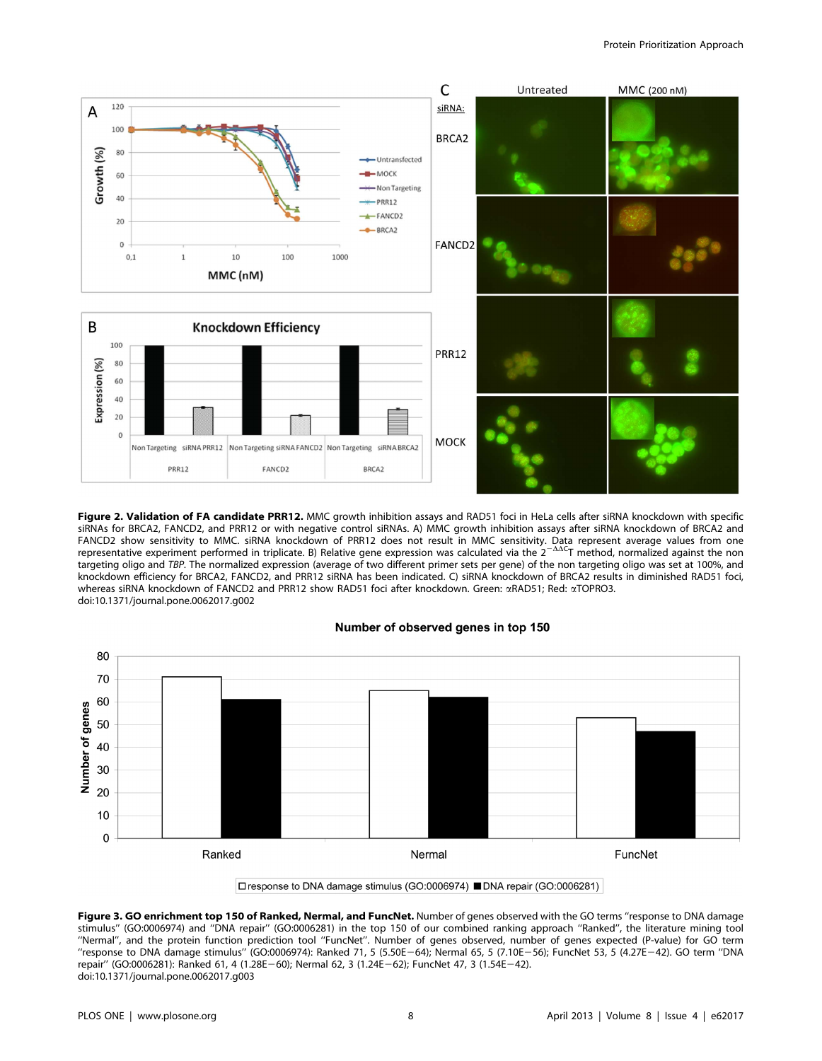

Figure 2. Validation of FA candidate PRR12. MMC growth inhibition assays and RAD51 foci in HeLa cells after siRNA knockdown with specific siRNAs for BRCA2, FANCD2, and PRR12 or with negative control siRNAs. A) MMC growth inhibition assays after siRNA knockdown of BRCA2 and FANCD2 show sensitivity to MMC. siRNA knockdown of PRR12 does not result in MMC sensitivity. Data represent average values from one<br>representative experiment performed in triplicate. B) Relative gene expression was calcula targeting oligo and TBP. The normalized expression (average of two different primer sets per gene) of the non targeting oligo was set at 100%, and knockdown efficiency for BRCA2, FANCD2, and PRR12 siRNA has been indicated. C) siRNA knockdown of BRCA2 results in diminished RAD51 foci, whereas siRNA knockdown of FANCD2 and PRR12 show RAD51 foci after knockdown. Green: aRAD51; Red: aTOPRO3. doi:10.1371/journal.pone.0062017.g002







Figure 3. GO enrichment top 150 of Ranked, Nermal, and FuncNet. Number of genes observed with the GO terms "response to DNA damage stimulus'' (GO:0006974) and ''DNA repair'' (GO:0006281) in the top 150 of our combined ranking approach ''Ranked'', the literature mining tool ''Nermal'', and the protein function prediction tool ''FuncNet''. Number of genes observed, number of genes expected (P-value) for GO term "response to DNA damage stimulus" (GO:0006974): Ranked 71, 5 (5.50E-64); Nermal 65, 5 (7.10E-56); FuncNet 53, 5 (4.27E-42). GO term "DNA repair" (GO:0006281): Ranked 61, 4 (1.28E-60); Nermal 62, 3 (1.24E-62); FuncNet 47, 3 (1.54E-42). doi:10.1371/journal.pone.0062017.g003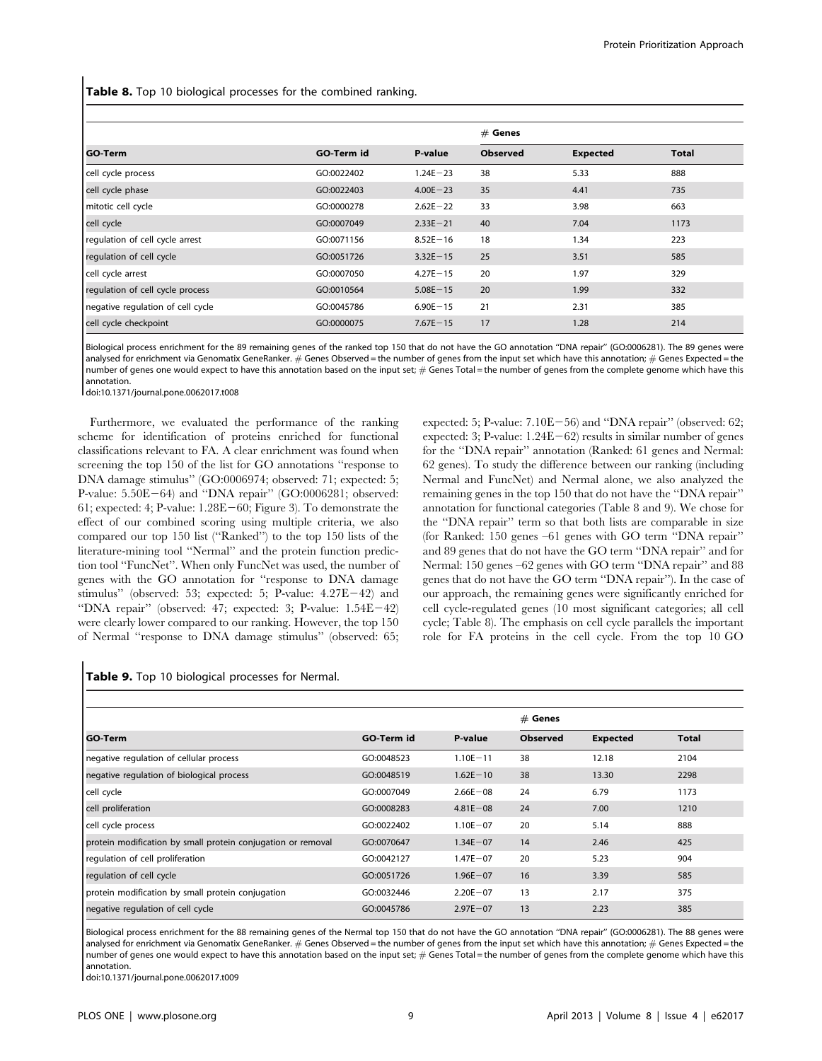Table 8. Top 10 biological processes for the combined ranking.

|                                   |                   |              | $#$ Genes       |                 |              |
|-----------------------------------|-------------------|--------------|-----------------|-----------------|--------------|
| GO-Term                           | <b>GO-Term id</b> | P-value      | <b>Observed</b> | <b>Expected</b> | <b>Total</b> |
| cell cycle process                | GO:0022402        | $1.24E - 23$ | 38              | 5.33            | 888          |
| cell cycle phase                  | GO:0022403        | $4.00E - 23$ | 35              | 4.41            | 735          |
| mitotic cell cycle                | GO:0000278        | $2.62E - 22$ | 33              | 3.98            | 663          |
| cell cycle                        | GO:0007049        | $2.33E - 21$ | 40              | 7.04            | 1173         |
| regulation of cell cycle arrest   | GO:0071156        | $8.52E - 16$ | 18              | 1.34            | 223          |
| regulation of cell cycle          | GO:0051726        | $3.32E - 15$ | 25              | 3.51            | 585          |
| cell cycle arrest                 | GO:0007050        | $4.27E - 15$ | 20              | 1.97            | 329          |
| regulation of cell cycle process  | GO:0010564        | $5.08E - 15$ | 20              | 1.99            | 332          |
| negative regulation of cell cycle | GO:0045786        | $6.90E - 15$ | 21              | 2.31            | 385          |
| cell cycle checkpoint             | GO:0000075        | $7.67E - 15$ | 17              | 1.28            | 214          |

Biological process enrichment for the 89 remaining genes of the ranked top 150 that do not have the GO annotation ''DNA repair'' (GO:0006281). The 89 genes were analysed for enrichment via Genomatix GeneRanker. # Genes Observed = the number of genes from the input set which have this annotation; # Genes Expected = the number of genes one would expect to have this annotation based on the input set;  $#$  Genes Total = the number of genes from the complete genome which have this annotation.

doi:10.1371/journal.pone.0062017.t008

Furthermore, we evaluated the performance of the ranking scheme for identification of proteins enriched for functional classifications relevant to FA. A clear enrichment was found when screening the top 150 of the list for GO annotations ''response to DNA damage stimulus'' (GO:0006974; observed: 71; expected: 5; P-value:  $5.50E-64$ ) and "DNA repair" (GO:0006281; observed: 61; expected: 4; P-value:  $1.28E-60$ ; Figure 3). To demonstrate the effect of our combined scoring using multiple criteria, we also compared our top 150 list (''Ranked'') to the top 150 lists of the literature-mining tool ''Nermal'' and the protein function prediction tool ''FuncNet''. When only FuncNet was used, the number of genes with the GO annotation for ''response to DNA damage stimulus" (observed: 53; expected: 5; P-value:  $4.27E-42$ ) and "DNA repair" (observed: 47; expected: 3; P-value:  $1.54E-42$ ) were clearly lower compared to our ranking. However, the top 150 of Nermal ''response to DNA damage stimulus'' (observed: 65;

expected: 5; P-value:  $7.10E-56$ ) and "DNA repair" (observed: 62; expected: 3; P-value:  $1.24E-62$ ) results in similar number of genes for the ''DNA repair'' annotation (Ranked: 61 genes and Nermal: 62 genes). To study the difference between our ranking (including Nermal and FuncNet) and Nermal alone, we also analyzed the remaining genes in the top 150 that do not have the ''DNA repair'' annotation for functional categories (Table 8 and 9). We chose for the ''DNA repair'' term so that both lists are comparable in size (for Ranked: 150 genes –61 genes with GO term ''DNA repair'' and 89 genes that do not have the GO term ''DNA repair'' and for Nermal: 150 genes –62 genes with GO term ''DNA repair'' and 88 genes that do not have the GO term ''DNA repair''). In the case of our approach, the remaining genes were significantly enriched for cell cycle-regulated genes (10 most significant categories; all cell cycle; Table 8). The emphasis on cell cycle parallels the important role for FA proteins in the cell cycle. From the top 10 GO

Table 9. Top 10 biological processes for Nermal.

|                                                              |            |              | $#$ Genes       |                 |              |
|--------------------------------------------------------------|------------|--------------|-----------------|-----------------|--------------|
| GO-Term                                                      | GO-Term id | P-value      | <b>Observed</b> | <b>Expected</b> | <b>Total</b> |
| negative regulation of cellular process                      | GO:0048523 | $1.10E - 11$ | 38              | 12.18           | 2104         |
| negative regulation of biological process                    | GO:0048519 | $1.62E - 10$ | 38              | 13.30           | 2298         |
| cell cycle                                                   | GO:0007049 | $2.66E - 08$ | 24              | 6.79            | 1173         |
| cell proliferation                                           | GO:0008283 | $4.81E - 08$ | 24              | 7.00            | 1210         |
| cell cycle process                                           | GO:0022402 | $1.10E - 07$ | 20              | 5.14            | 888          |
| protein modification by small protein conjugation or removal | GO:0070647 | $1.34E - 07$ | 14              | 2.46            | 425          |
| regulation of cell proliferation                             | GO:0042127 | $1.47E - 07$ | 20              | 5.23            | 904          |
| requlation of cell cycle                                     | GO:0051726 | $1.96E - 07$ | 16              | 3.39            | 585          |
| protein modification by small protein conjugation            | GO:0032446 | $2.20E - 07$ | 13              | 2.17            | 375          |
| negative regulation of cell cycle                            | GO:0045786 | $2.97E - 07$ | 13              | 2.23            | 385          |

Biological process enrichment for the 88 remaining genes of the Nermal top 150 that do not have the GO annotation ''DNA repair'' (GO:0006281). The 88 genes were analysed for enrichment via Genomatix GeneRanker. # Genes Observed = the number of genes from the input set which have this annotation; # Genes Expected = the number of genes one would expect to have this annotation based on the input set;  $#$  Genes Total = the number of genes from the complete genome which have this annotation.

doi:10.1371/journal.pone.0062017.t009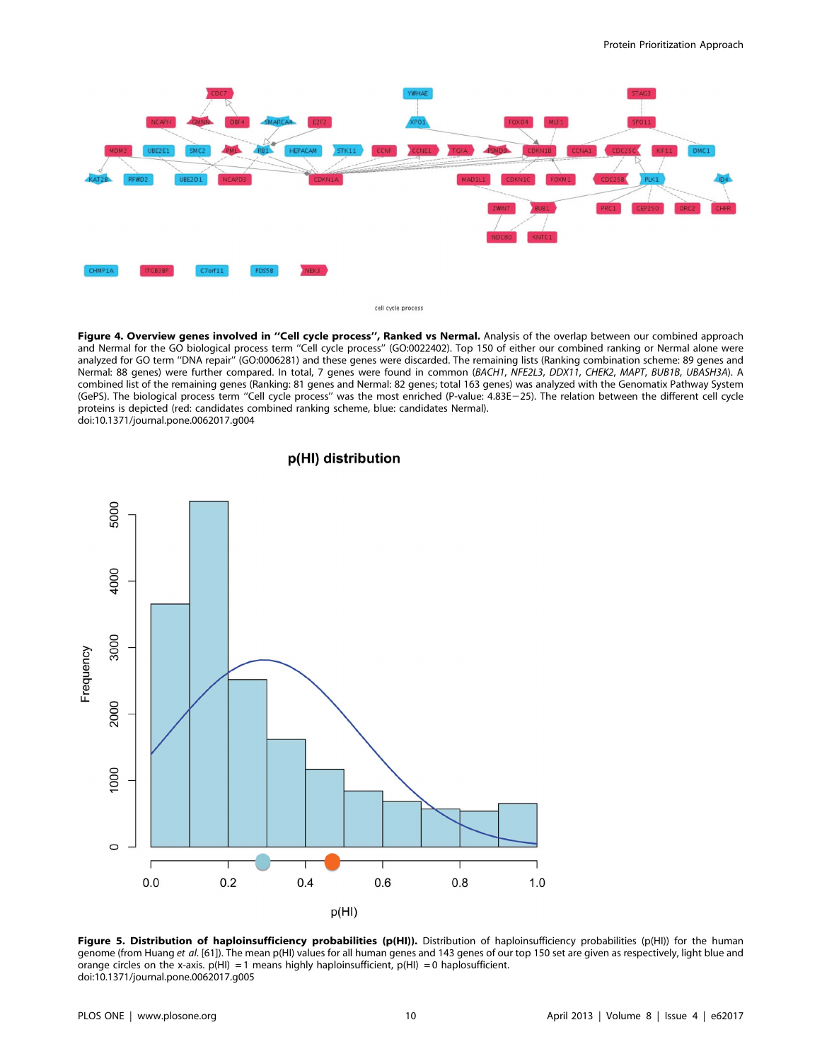

cell cycle process

Figure 4. Overview genes involved in "Cell cycle process", Ranked vs Nermal. Analysis of the overlap between our combined approach and Nermal for the GO biological process term ''Cell cycle process'' (GO:0022402). Top 150 of either our combined ranking or Nermal alone were analyzed for GO term ''DNA repair'' (GO:0006281) and these genes were discarded. The remaining lists (Ranking combination scheme: 89 genes and Nermal: 88 genes) were further compared. In total, 7 genes were found in common (BACH1, NFE2L3, DDX11, CHEK2, MAPT, BUB1B, UBASH3A). A combined list of the remaining genes (Ranking: 81 genes and Nermal: 82 genes; total 163 genes) was analyzed with the Genomatix Pathway System (GePS). The biological process term "Cell cycle process" was the most enriched (P-value: 4.83E-25). The relation between the different cell cycle proteins is depicted (red: candidates combined ranking scheme, blue: candidates Nermal). doi:10.1371/journal.pone.0062017.g004

# p(HI) distribution



Figure 5. Distribution of haploinsufficiency probabilities (p(HI)). Distribution of haploinsufficiency probabilities (p(HI)) for the human genome (from Huang et al. [61]). The mean p(HI) values for all human genes and 143 genes of our top 150 set are given as respectively, light blue and orange circles on the x-axis.  $p(H) = 1$  means highly haploinsufficient,  $p(H) = 0$  haplosufficient. doi:10.1371/journal.pone.0062017.g005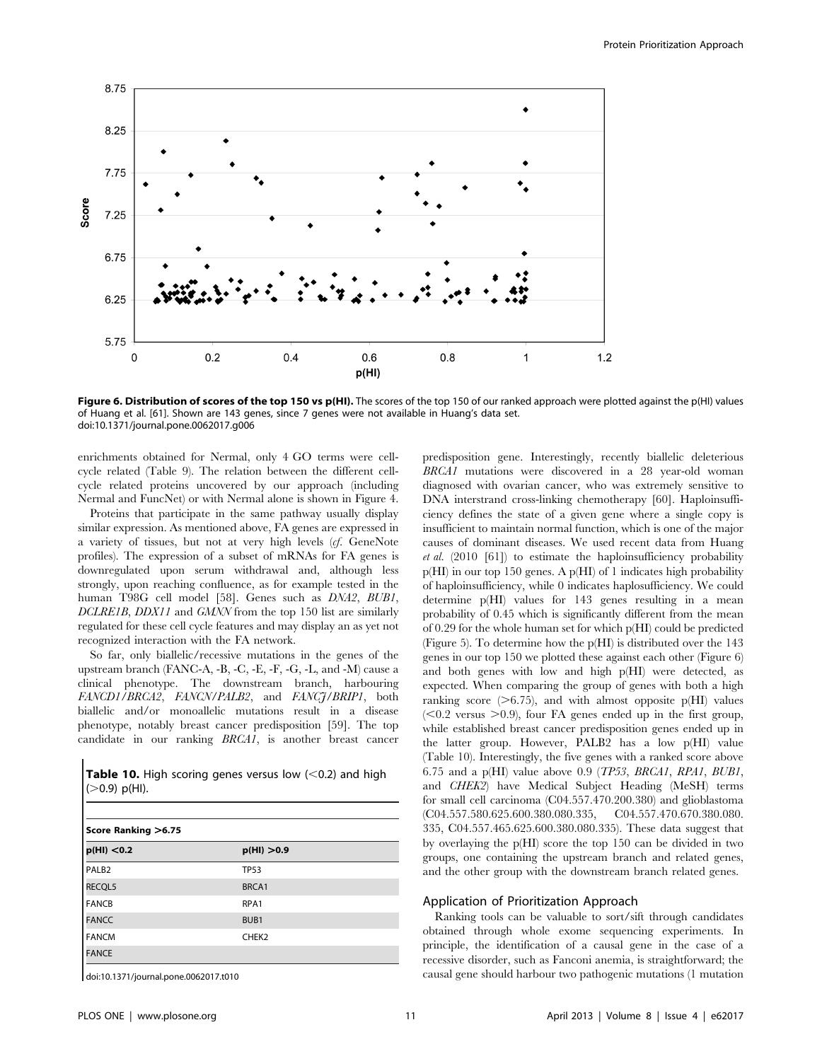

Figure 6. Distribution of scores of the top 150 vs p(HI). The scores of the top 150 of our ranked approach were plotted against the p(HI) values of Huang et al. [61]. Shown are 143 genes, since 7 genes were not available in Huang's data set. doi:10.1371/journal.pone.0062017.g006

enrichments obtained for Nermal, only 4 GO terms were cellcycle related (Table 9). The relation between the different cellcycle related proteins uncovered by our approach (including Nermal and FuncNet) or with Nermal alone is shown in Figure 4.

Proteins that participate in the same pathway usually display similar expression. As mentioned above, FA genes are expressed in a variety of tissues, but not at very high levels (cf. GeneNote profiles). The expression of a subset of mRNAs for FA genes is downregulated upon serum withdrawal and, although less strongly, upon reaching confluence, as for example tested in the human T98G cell model [58]. Genes such as DNA2, BUB1, DCLRE1B, DDX11 and GMNN from the top 150 list are similarly regulated for these cell cycle features and may display an as yet not recognized interaction with the FA network.

So far, only biallelic/recessive mutations in the genes of the upstream branch (FANC-A, -B, -C, -E, -F, -G, -L, and -M) cause a clinical phenotype. The downstream branch, harbouring FANCD1/BRCA2, FANCN/PALB2, and FANCJ/BRIP1, both biallelic and/or monoallelic mutations result in a disease phenotype, notably breast cancer predisposition [59]. The top candidate in our ranking BRCA1, is another breast cancer

|                 | <b>Table 10.</b> High scoring genes versus low $\langle$ <0.2) and high |  |  |  |  |
|-----------------|-------------------------------------------------------------------------|--|--|--|--|
| $(>0.9)$ p(HI). |                                                                         |  |  |  |  |

| Score Ranking >6.75 |                   |  |
|---------------------|-------------------|--|
| p(HI) < 0.2         | p(HI) > 0.9       |  |
| PALB <sub>2</sub>   | <b>TP53</b>       |  |
| RECQL5              | BRCA1             |  |
| <b>FANCB</b>        | RPA <sub>1</sub>  |  |
| <b>FANCC</b>        | BUB <sub>1</sub>  |  |
| <b>FANCM</b>        | CHEK <sub>2</sub> |  |
| <b>FANCE</b>        |                   |  |

doi:10.1371/journal.pone.0062017.t010

predisposition gene. Interestingly, recently biallelic deleterious BRCA1 mutations were discovered in a 28 year-old woman diagnosed with ovarian cancer, who was extremely sensitive to DNA interstrand cross-linking chemotherapy [60]. Haploinsufficiency defines the state of a given gene where a single copy is insufficient to maintain normal function, which is one of the major causes of dominant diseases. We used recent data from Huang  $et \ al.$  (2010 [61]) to estimate the haploinsufficiency probability p(HI) in our top 150 genes. A p(HI) of 1 indicates high probability of haploinsufficiency, while 0 indicates haplosufficiency. We could determine p(HI) values for 143 genes resulting in a mean probability of 0.45 which is significantly different from the mean of 0.29 for the whole human set for which p(HI) could be predicted (Figure 5). To determine how the p(HI) is distributed over the 143 genes in our top 150 we plotted these against each other (Figure 6) and both genes with low and high p(HI) were detected, as expected. When comparing the group of genes with both a high ranking score  $($ >6.75), and with almost opposite p(HI) values  $(< 0.2$  versus  $> 0.9$ ), four FA genes ended up in the first group, while established breast cancer predisposition genes ended up in the latter group. However, PALB2 has a low p(HI) value (Table 10). Interestingly, the five genes with a ranked score above 6.75 and a p(HI) value above 0.9 (TP53, BRCA1, RPA1, BUB1, and CHEK2) have Medical Subject Heading (MeSH) terms for small cell carcinoma (C04.557.470.200.380) and glioblastoma (C04.557.580.625.600.380.080.335, C04.557.470.670.380.080. 335, C04.557.465.625.600.380.080.335). These data suggest that by overlaying the p(HI) score the top 150 can be divided in two groups, one containing the upstream branch and related genes, and the other group with the downstream branch related genes.

# Application of Prioritization Approach

Ranking tools can be valuable to sort/sift through candidates obtained through whole exome sequencing experiments. In principle, the identification of a causal gene in the case of a recessive disorder, such as Fanconi anemia, is straightforward; the causal gene should harbour two pathogenic mutations (1 mutation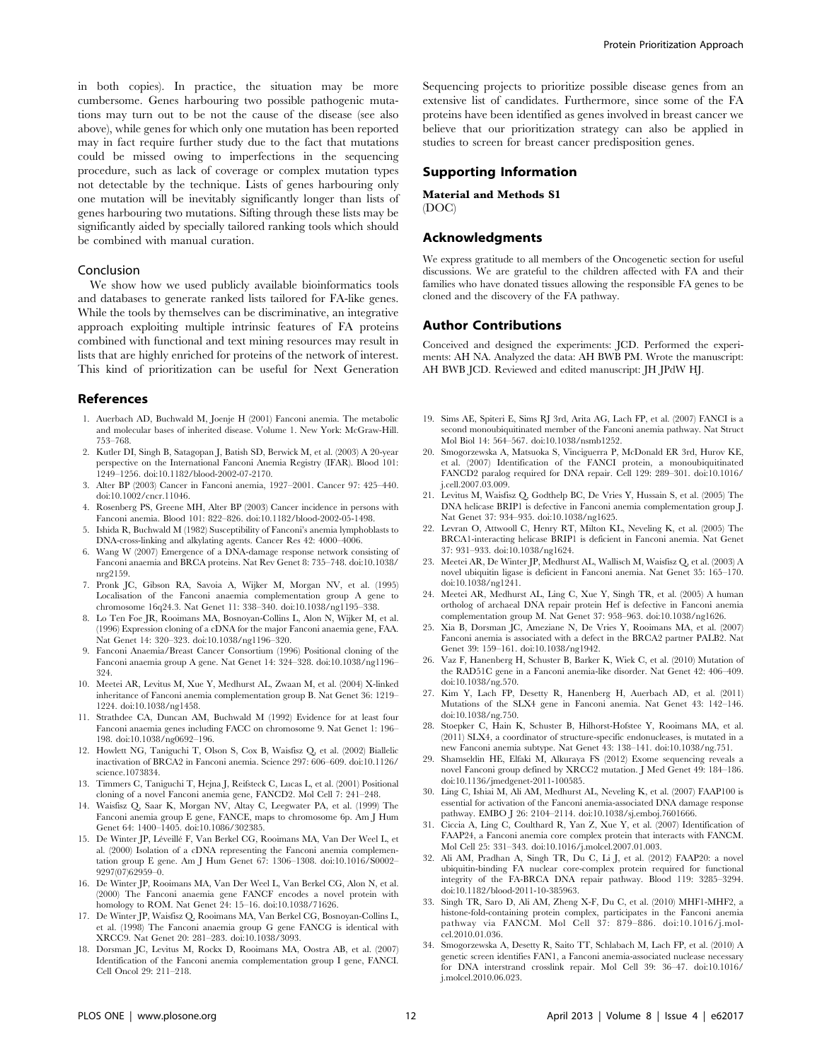in both copies). In practice, the situation may be more cumbersome. Genes harbouring two possible pathogenic mutations may turn out to be not the cause of the disease (see also above), while genes for which only one mutation has been reported may in fact require further study due to the fact that mutations could be missed owing to imperfections in the sequencing procedure, such as lack of coverage or complex mutation types not detectable by the technique. Lists of genes harbouring only one mutation will be inevitably significantly longer than lists of genes harbouring two mutations. Sifting through these lists may be significantly aided by specially tailored ranking tools which should be combined with manual curation.

# Conclusion

We show how we used publicly available bioinformatics tools and databases to generate ranked lists tailored for FA-like genes. While the tools by themselves can be discriminative, an integrative approach exploiting multiple intrinsic features of FA proteins combined with functional and text mining resources may result in lists that are highly enriched for proteins of the network of interest. This kind of prioritization can be useful for Next Generation

#### References

- 1. Auerbach AD, Buchwald M, Joenje H (2001) Fanconi anemia. The metabolic and molecular bases of inherited disease. Volume 1. New York: McGraw-Hill. 753–768.
- 2. Kutler DI, Singh B, Satagopan J, Batish SD, Berwick M, et al. (2003) A 20-year perspective on the International Fanconi Anemia Registry (IFAR). Blood 101: 1249–1256. doi:10.1182/blood-2002-07-2170.
- 3. Alter BP (2003) Cancer in Fanconi anemia, 1927–2001. Cancer 97: 425–440. doi:10.1002/cncr.11046.
- 4. Rosenberg PS, Greene MH, Alter BP (2003) Cancer incidence in persons with Fanconi anemia. Blood 101: 822–826. doi:10.1182/blood-2002-05-1498.
- 5. Ishida R, Buchwald M (1982) Susceptibility of Fanconi's anemia lymphoblasts to DNA-cross-linking and alkylating agents. Cancer Res 42: 4000–4006.
- 6. Wang W (2007) Emergence of a DNA-damage response network consisting of Fanconi anaemia and BRCA proteins. Nat Rev Genet 8: 735–748. doi:10.1038/ nrg2159.
- 7. Pronk JC, Gibson RA, Savoia A, Wijker M, Morgan NV, et al. (1995) Localisation of the Fanconi anaemia complementation group A gene to chromosome 16q24.3. Nat Genet 11: 338–340. doi:10.1038/ng1195–338.
- 8. Lo Ten Foe JR, Rooimans MA, Bosnoyan-Collins L, Alon N, Wijker M, et al. (1996) Expression cloning of a cDNA for the major Fanconi anaemia gene, FAA. Nat Genet 14: 320–323. doi:10.1038/ng1196–320.
- 9. Fanconi Anaemia/Breast Cancer Consortium (1996) Positional cloning of the Fanconi anaemia group A gene. Nat Genet 14: 324–328. doi:10.1038/ng1196– 324.
- 10. Meetei AR, Levitus M, Xue Y, Medhurst AL, Zwaan M, et al. (2004) X-linked inheritance of Fanconi anemia complementation group B. Nat Genet 36: 1219– 1224. doi:10.1038/ng1458.
- 11. Strathdee CA, Duncan AM, Buchwald M (1992) Evidence for at least four Fanconi anaemia genes including FACC on chromosome 9. Nat Genet 1: 196– 198. doi:10.1038/ng0692–196.
- 12. Howlett NG, Taniguchi T, Olson S, Cox B, Waisfisz Q, et al. (2002) Biallelic inactivation of BRCA2 in Fanconi anemia. Science 297: 606–609. doi:10.1126/ science.1073834.
- 13. Timmers C, Taniguchi T, Hejna J, Reifsteck C, Lucas L, et al. (2001) Positional cloning of a novel Fanconi anemia gene, FANCD2. Mol Cell 7: 241–248.
- 14. Waisfisz Q, Saar K, Morgan NV, Altay C, Leegwater PA, et al. (1999) The Fanconi anemia group E gene, FANCE, maps to chromosome 6p. Am J Hum Genet 64: 1400–1405. doi:10.1086/302385.
- 15. De Winter JP, Léveillé F, Van Berkel CG, Rooimans MA, Van Der Weel L, et al. (2000) Isolation of a cDNA representing the Fanconi anemia complementation group E gene. Am J Hum Genet 67: 1306–1308. doi:10.1016/S0002– 9297(07)62959–0.
- 16. De Winter JP, Rooimans MA, Van Der Weel L, Van Berkel CG, Alon N, et al. (2000) The Fanconi anaemia gene FANCF encodes a novel protein with homology to ROM. Nat Genet 24: 15–16. doi:10.1038/71626.
- 17. De Winter JP, Waisfisz Q, Rooimans MA, Van Berkel CG, Bosnoyan-Collins L, et al. (1998) The Fanconi anaemia group G gene FANCG is identical with XRCC9. Nat Genet 20: 281–283. doi:10.1038/3093.
- 18. Dorsman JC, Levitus M, Rockx D, Rooimans MA, Oostra AB, et al. (2007) Identification of the Fanconi anemia complementation group I gene, FANCI. Cell Oncol 29: 211–218.

Sequencing projects to prioritize possible disease genes from an extensive list of candidates. Furthermore, since some of the FA proteins have been identified as genes involved in breast cancer we believe that our prioritization strategy can also be applied in studies to screen for breast cancer predisposition genes.

### Supporting Information

Material and Methods S1 (DOC)

### Acknowledgments

We express gratitude to all members of the Oncogenetic section for useful discussions. We are grateful to the children affected with FA and their families who have donated tissues allowing the responsible FA genes to be cloned and the discovery of the FA pathway.

# Author Contributions

Conceived and designed the experiments: JCD. Performed the experiments: AH NA. Analyzed the data: AH BWB PM. Wrote the manuscript: AH BWB JCD. Reviewed and edited manuscript: JH JPdW HJ.

- 19. Sims AE, Spiteri E, Sims RJ 3rd, Arita AG, Lach FP, et al. (2007) FANCI is a second monoubiquitinated member of the Fanconi anemia pathway. Nat Struct Mol Biol 14: 564–567. doi:10.1038/nsmb1252.
- 20. Smogorzewska A, Matsuoka S, Vinciguerra P, McDonald ER 3rd, Hurov KE, et al. (2007) Identification of the FANCI protein, a monoubiquitinated FANCD2 paralog required for DNA repair. Cell 129: 289–301. doi:10.1016/ j.cell.2007.03.009.
- 21. Levitus M, Waisfisz Q, Godthelp BC, De Vries Y, Hussain S, et al. (2005) The DNA helicase BRIP1 is defective in Fanconi anemia complementation group J. Nat Genet 37: 934–935. doi:10.1038/ng1625.
- 22. Levran O, Attwooll C, Henry RT, Milton KL, Neveling K, et al. (2005) The BRCA1-interacting helicase BRIP1 is deficient in Fanconi anemia. Nat Genet 37: 931–933. doi:10.1038/ng1624.
- 23. Meetei AR, De Winter JP, Medhurst AL, Wallisch M, Waisfisz Q, et al. (2003) A novel ubiquitin ligase is deficient in Fanconi anemia. Nat Genet 35: 165–170. doi:10.1038/ng1241.
- 24. Meetei AR, Medhurst AL, Ling C, Xue Y, Singh TR, et al. (2005) A human ortholog of archaeal DNA repair protein Hef is defective in Fanconi anemia complementation group M. Nat Genet 37: 958–963. doi:10.1038/ng1626.
- 25. Xia B, Dorsman JC, Ameziane N, De Vries Y, Rooimans MA, et al. (2007) Fanconi anemia is associated with a defect in the BRCA2 partner PALB2. Nat Genet 39: 159–161. doi:10.1038/ng1942.
- 26. Vaz F, Hanenberg H, Schuster B, Barker K, Wiek C, et al. (2010) Mutation of the RAD51C gene in a Fanconi anemia-like disorder. Nat Genet 42: 406–409. doi:10.1038/ng.570.
- 27. Kim Y, Lach FP, Desetty R, Hanenberg H, Auerbach AD, et al. (2011) Mutations of the SLX4 gene in Fanconi anemia. Nat Genet 43: 142–146. doi:10.1038/ng.750.
- 28. Stoepker C, Hain K, Schuster B, Hilhorst-Hofstee Y, Rooimans MA, et al. (2011) SLX4, a coordinator of structure-specific endonucleases, is mutated in a new Fanconi anemia subtype. Nat Genet 43: 138–141. doi:10.1038/ng.751.
- 29. Shamseldin HE, Elfaki M, Alkuraya FS (2012) Exome sequencing reveals a novel Fanconi group defined by XRCC2 mutation. J Med Genet 49: 184–186. doi:10.1136/jmedgenet-2011-100585.
- 30. Ling C, Ishiai M, Ali AM, Medhurst AL, Neveling K, et al. (2007) FAAP100 is essential for activation of the Fanconi anemia-associated DNA damage response pathway. EMBO J 26: 2104–2114. doi:10.1038/sj.emboj.7601666.
- 31. Ciccia A, Ling C, Coulthard R, Yan Z, Xue Y, et al. (2007) Identification of FAAP24, a Fanconi anemia core complex protein that interacts with FANCM. Mol Cell 25: 331–343. doi:10.1016/j.molcel.2007.01.003.
- 32. Ali AM, Pradhan A, Singh TR, Du C, Li J, et al. (2012) FAAP20: a novel ubiquitin-binding FA nuclear core-complex protein required for functional integrity of the FA-BRCA DNA repair pathway. Blood 119: 3285–3294. doi:10.1182/blood-2011-10-385963.
- 33. Singh TR, Saro D, Ali AM, Zheng X-F, Du C, et al. (2010) MHF1-MHF2, a histone-fold-containing protein complex, participates in the Fanconi anemia pathway via FANCM. Mol Cell 37: 879–886. doi:10.1016/j.molcel.2010.01.036.
- 34. Smogorzewska A, Desetty R, Saito TT, Schlabach M, Lach FP, et al. (2010) A genetic screen identifies FAN1, a Fanconi anemia-associated nuclease necessary for DNA interstrand crosslink repair. Mol Cell 39: 36–47. doi:10.1016/ j.molcel.2010.06.023.